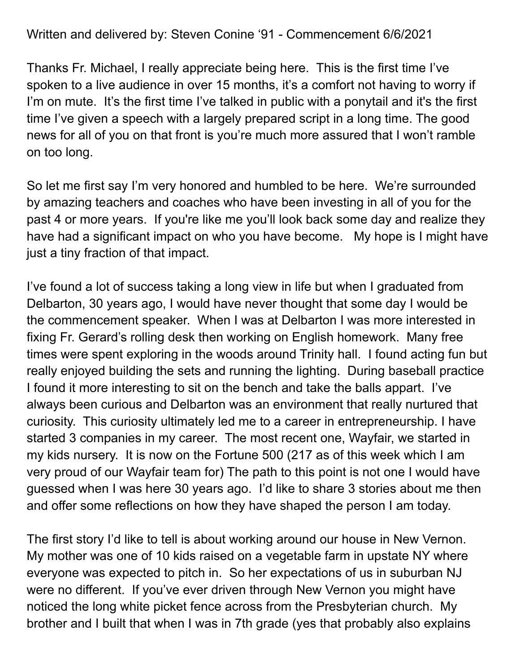Written and delivered by: Steven Conine '91 - Commencement 6/6/2021

Thanks Fr. Michael, I really appreciate being here. This is the first time I've spoken to a live audience in over 15 months, it's a comfort not having to worry if I'm on mute. It's the first time I've talked in public with a ponytail and it's the first time I've given a speech with a largely prepared script in a long time. The good news for all of you on that front is you're much more assured that I won't ramble on too long.

So let me first say I'm very honored and humbled to be here. We're surrounded by amazing teachers and coaches who have been investing in all of you for the past 4 or more years. If you're like me you'll look back some day and realize they have had a significant impact on who you have become. My hope is I might have just a tiny fraction of that impact.

I've found a lot of success taking a long view in life but when I graduated from Delbarton, 30 years ago, I would have never thought that some day I would be the commencement speaker. When I was at Delbarton I was more interested in fixing Fr. Gerard's rolling desk then working on English homework. Many free times were spent exploring in the woods around Trinity hall. I found acting fun but really enjoyed building the sets and running the lighting. During baseball practice I found it more interesting to sit on the bench and take the balls appart. I've always been curious and Delbarton was an environment that really nurtured that curiosity. This curiosity ultimately led me to a career in entrepreneurship. I have started 3 companies in my career. The most recent one, Wayfair, we started in my kids nursery. It is now on the Fortune 500 (217 as of this week which I am very proud of our Wayfair team for) The path to this point is not one I would have guessed when I was here 30 years ago. I'd like to share 3 stories about me then and offer some reflections on how they have shaped the person I am today.

The first story I'd like to tell is about working around our house in New Vernon. My mother was one of 10 kids raised on a vegetable farm in upstate NY where everyone was expected to pitch in. So her expectations of us in suburban NJ were no different. If you've ever driven through New Vernon you might have noticed the long white picket fence across from the Presbyterian church. My brother and I built that when I was in 7th grade (yes that probably also explains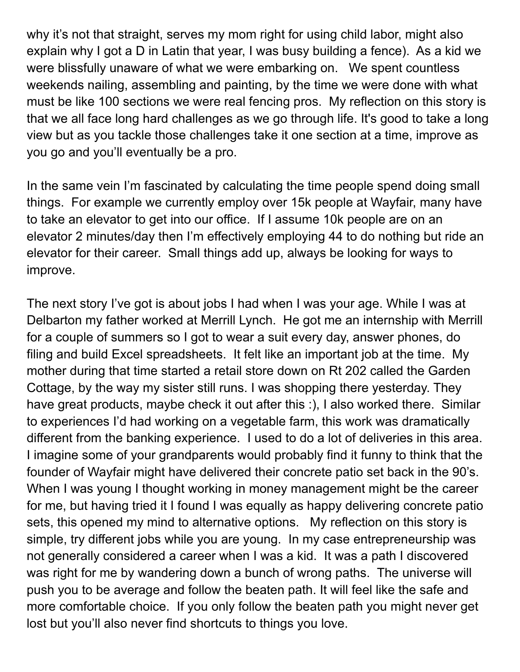why it's not that straight, serves my mom right for using child labor, might also explain why I got a D in Latin that year, I was busy building a fence). As a kid we were blissfully unaware of what we were embarking on. We spent countless weekends nailing, assembling and painting, by the time we were done with what must be like 100 sections we were real fencing pros. My reflection on this story is that we all face long hard challenges as we go through life. It's good to take a long view but as you tackle those challenges take it one section at a time, improve as you go and you'll eventually be a pro.

In the same vein I'm fascinated by calculating the time people spend doing small things. For example we currently employ over 15k people at Wayfair, many have to take an elevator to get into our office. If I assume 10k people are on an elevator 2 minutes/day then I'm effectively employing 44 to do nothing but ride an elevator for their career. Small things add up, always be looking for ways to improve.

The next story I've got is about jobs I had when I was your age. While I was at Delbarton my father worked at Merrill Lynch. He got me an internship with Merrill for a couple of summers so I got to wear a suit every day, answer phones, do filing and build Excel spreadsheets. It felt like an important job at the time. My mother during that time started a retail store down on Rt 202 called the Garden Cottage, by the way my sister still runs. I was shopping there yesterday. They have great products, maybe check it out after this :), I also worked there. Similar to experiences I'd had working on a vegetable farm, this work was dramatically different from the banking experience. I used to do a lot of deliveries in this area. I imagine some of your grandparents would probably find it funny to think that the founder of Wayfair might have delivered their concrete patio set back in the 90's. When I was young I thought working in money management might be the career for me, but having tried it I found I was equally as happy delivering concrete patio sets, this opened my mind to alternative options. My reflection on this story is simple, try different jobs while you are young. In my case entrepreneurship was not generally considered a career when I was a kid. It was a path I discovered was right for me by wandering down a bunch of wrong paths. The universe will push you to be average and follow the beaten path. It will feel like the safe and more comfortable choice. If you only follow the beaten path you might never get lost but you'll also never find shortcuts to things you love.